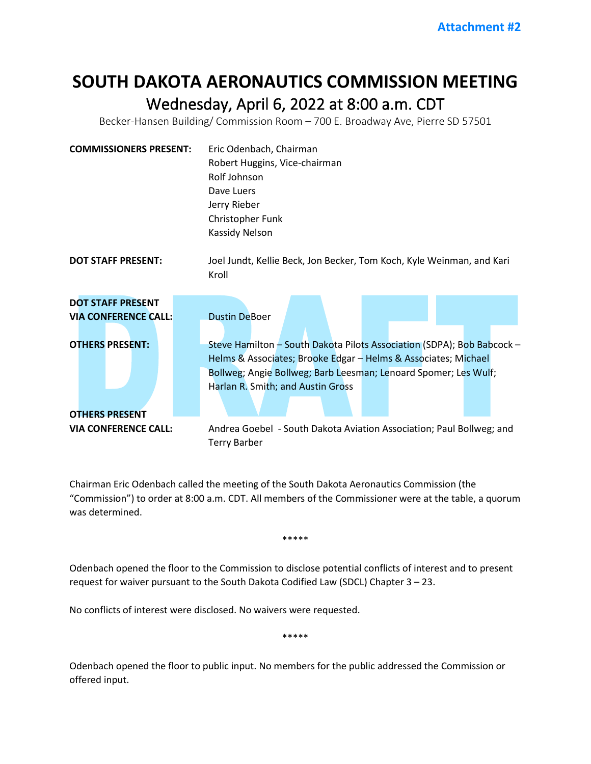## **SOUTH DAKOTA AERONAUTICS COMMISSION MEETING** Wednesday, April 6, 2022 at 8:00 a.m. CDT<br>Becker-Hansen Building/ Commission Room – 700 E. Broadway Ave, Pierre SD 57501

| <b>COMMISSIONERS PRESENT:</b>                                                     | Eric Odenbach, Chairman<br>Robert Huggins, Vice-chairman<br>Rolf Johnson<br>Dave Luers<br>Jerry Rieber<br>Christopher Funk<br>Kassidy Nelson                                                                                                                             |
|-----------------------------------------------------------------------------------|--------------------------------------------------------------------------------------------------------------------------------------------------------------------------------------------------------------------------------------------------------------------------|
| <b>DOT STAFF PRESENT:</b>                                                         | Joel Jundt, Kellie Beck, Jon Becker, Tom Koch, Kyle Weinman, and Kari<br>Kroll                                                                                                                                                                                           |
| <b>DOT STAFF PRESENT</b><br><b>VIA CONFERENCE CALL:</b><br><b>OTHERS PRESENT:</b> | <b>Dustin DeBoer</b><br>Steve Hamilton - South Dakota Pilots Association (SDPA); Bob Babcock -<br>Helms & Associates; Brooke Edgar - Helms & Associates; Michael<br>Bollweg; Angie Bollweg; Barb Leesman; Lenoard Spomer; Les Wulf;<br>Harlan R. Smith; and Austin Gross |
| <b>OTHERS PRESENT</b><br><b>VIA CONFERENCE CALL:</b>                              | Andrea Goebel - South Dakota Aviation Association; Paul Bollweg; and<br><b>Terry Barber</b>                                                                                                                                                                              |

Chairman Eric Odenbach called the meeting of the South Dakota Aeronautics Commission (the "Commission") to order at 8:00 a.m. CDT. All members of the Commissioner were at the table, a quorum was determined.

\*\*\*\*\*

Odenbach opened the floor to the Commission to disclose potential conflicts of interest and to present request for waiver pursuant to the South Dakota Codified Law (SDCL) Chapter 3 – 23.

No conflicts of interest were disclosed. No waivers were requested.

\*\*\*\*\*

Odenbach opened the floor to public input. No members for the public addressed the Commission or offered input.